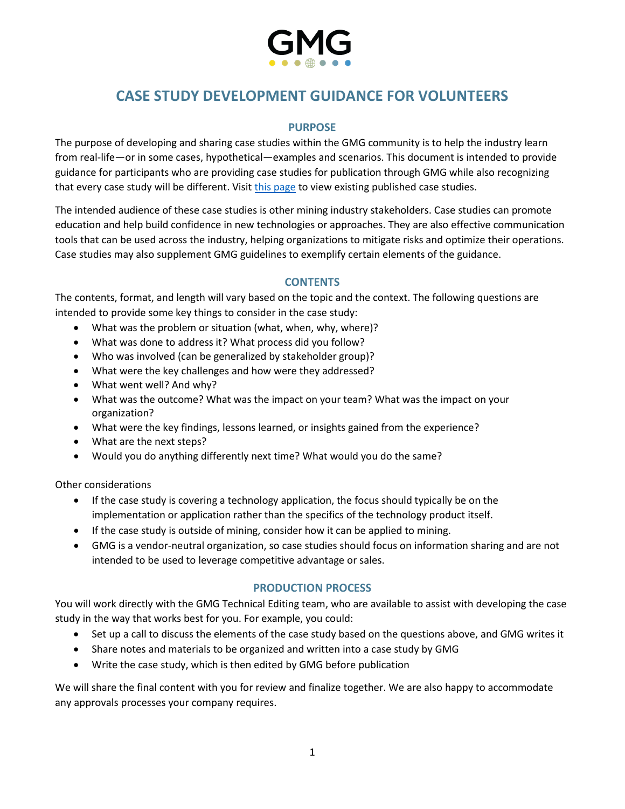

# **CASE STUDY DEVELOPMENT GUIDANCE FOR VOLUNTEERS**

# **PURPOSE**

The purpose of developing and sharing case studies within the GMG community is to help the industry learn from real-life—or in some cases, hypothetical—examples and scenarios. This document is intended to provide guidance for participants who are providing case studies for publication through GMG while also recognizing that every case study will be different. Visit [this page](https://gmggroup.org/guidelines-and-publications/) to view existing published case studies.

The intended audience of these case studies is other mining industry stakeholders. Case studies can promote education and help build confidence in new technologies or approaches. They are also effective communication tools that can be used across the industry, helping organizations to mitigate risks and optimize their operations. Case studies may also supplement GMG guidelines to exemplify certain elements of the guidance.

### **CONTENTS**

The contents, format, and length will vary based on the topic and the context. The following questions are intended to provide some key things to consider in the case study:

- What was the problem or situation (what, when, why, where)?
- What was done to address it? What process did you follow?
- Who was involved (can be generalized by stakeholder group)?
- What were the key challenges and how were they addressed?
- What went well? And why?
- What was the outcome? What was the impact on your team? What was the impact on your organization?
- What were the key findings, lessons learned, or insights gained from the experience?
- What are the next steps?
- Would you do anything differently next time? What would you do the same?

Other considerations

- If the case study is covering a technology application, the focus should typically be on the implementation or application rather than the specifics of the technology product itself.
- If the case study is outside of mining, consider how it can be applied to mining.
- GMG is a vendor-neutral organization, so case studies should focus on information sharing and are not intended to be used to leverage competitive advantage or sales.

#### **PRODUCTION PROCESS**

You will work directly with the GMG Technical Editing team, who are available to assist with developing the case study in the way that works best for you. For example, you could:

- Set up a call to discuss the elements of the case study based on the questions above, and GMG writes it
- Share notes and materials to be organized and written into a case study by GMG
- Write the case study, which is then edited by GMG before publication

We will share the final content with you for review and finalize together. We are also happy to accommodate any approvals processes your company requires.